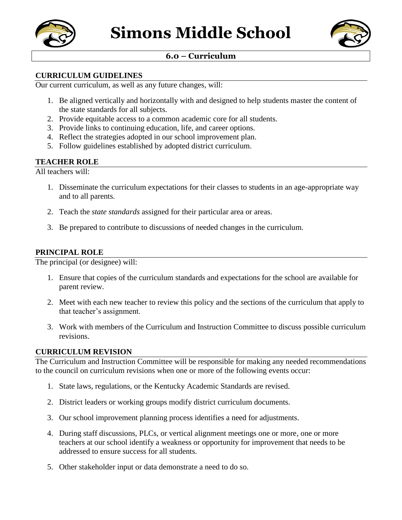



# **6.0 – Curriculum**

### **CURRICULUM GUIDELINES**

Our current curriculum, as well as any future changes, will:

- 1. Be aligned vertically and horizontally with and designed to help students master the content of the state standards for all subjects.
- 2. Provide equitable access to a common academic core for all students.
- 3. Provide links to continuing education, life, and career options.
- 4. Reflect the strategies adopted in our school improvement plan.
- 5. Follow guidelines established by adopted district curriculum.

## **TEACHER ROLE**

All teachers will:

- 1. Disseminate the curriculum expectations for their classes to students in an age-appropriate way and to all parents.
- 2. Teach the *state standards* assigned for their particular area or areas.
- 3. Be prepared to contribute to discussions of needed changes in the curriculum.

#### **PRINCIPAL ROLE**

The principal (or designee) will:

- 1. Ensure that copies of the curriculum standards and expectations for the school are available for parent review.
- 2. Meet with each new teacher to review this policy and the sections of the curriculum that apply to that teacher's assignment.
- 3. Work with members of the Curriculum and Instruction Committee to discuss possible curriculum revisions.

#### **CURRICULUM REVISION**

The Curriculum and Instruction Committee will be responsible for making any needed recommendations to the council on curriculum revisions when one or more of the following events occur:

- 1. State laws, regulations, or the Kentucky Academic Standards are revised.
- 2. District leaders or working groups modify district curriculum documents.
- 3. Our school improvement planning process identifies a need for adjustments.
- 4. During staff discussions, PLCs, or vertical alignment meetings one or more, one or more teachers at our school identify a weakness or opportunity for improvement that needs to be addressed to ensure success for all students.
- 5. Other stakeholder input or data demonstrate a need to do so.